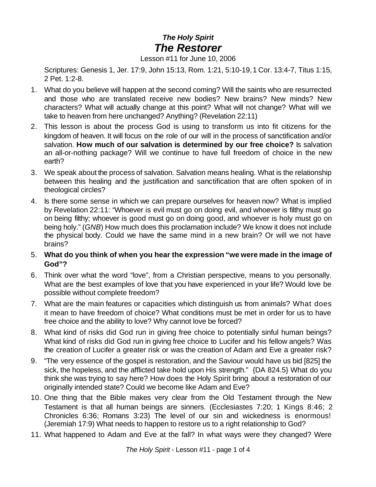## *The Holy Spirit The Restorer*

## Lesson #11 for June 10, 2006

Scriptures: Genesis 1, Jer. 17:9, John 15:13, Rom. 1:21, 5:10-19,1 Cor. 13:4-7, Titus 1:15, 2 Pet. 1:2-8.

- 1. What do you believe will happen at the second coming? Will the saints who are resurrected and those who are translated receive new bodies? New brains? New minds? New characters? What will actually change at this point? What will not change? What will we take to heaven from here unchanged? Anything? (Revelation 22:11)
- 2. This lesson is about the process God is using to transform us into fit citizens for the kingdom of heaven. It will focus on the role of our will in the process of sanctification and/or salvation. **How much of our salvation is determined by our free choice?** Is salvation an all-or-nothing package? Will we continue to have full freedom of choice in the new earth?
- 3. We speak about the process of salvation. Salvation means healing. What is the relationship between this healing and the justification and sanctification that are often spoken of in theological circles?
- 4. Is there some sense in which we can prepare ourselves for heaven now? What is implied by Revelation 22:11: "Whoever is evil must go on doing evil, and whoever is filthy must go on being filthy; whoever is good must go on doing good, and whoever is holy must go on being holy." (*GNB*) How much does this proclamation include? We know it does not include the physical body. Could we have the same mind in a new brain? Or will we not have brains?
- 5. **What do you think of when you hear the expression "we were made in the image of God"?**
- 6. Think over what the word "love", from a Christian perspective, means to you personally. What are the best examples of love that you have experienced in your life? Would love be possible without complete freedom?
- 7. What are the main features or capacities which distinguish us from animals? What does it mean to have freedom of choice? What conditions must be met in order for us to have free choice and the ability to love? Why cannot love be forced?
- 8. What kind of risks did God run in giving free choice to potentially sinful human beings? What kind of risks did God run in giving free choice to Lucifer and his fellow angels? Was the creation of Lucifer a greater risk or was the creation of Adam and Eve a greater risk?
- 9. "The very essence of the gospel is restoration, and the Saviour would have us bid [825] the sick, the hopeless, and the afflicted take hold upon His strength." {DA 824.5} What do you think she was trying to say here? How does the Holy Spirit bring about a restoration of our originally intended state? Could we become like Adam and Eve?
- 10. One thing that the Bible makes very clear from the Old Testament through the New Testament is that all human beings are sinners. (Ecclesiastes 7:20; 1 Kings 8:46; 2 Chronicles 6:36; Romans 3:23) The level of our sin and wickedness is enormous! (Jeremiah 17:9) What needs to happen to restore us to a right relationship to God?
- 11. What happened to Adam and Eve at the fall? In what ways were they changed? Were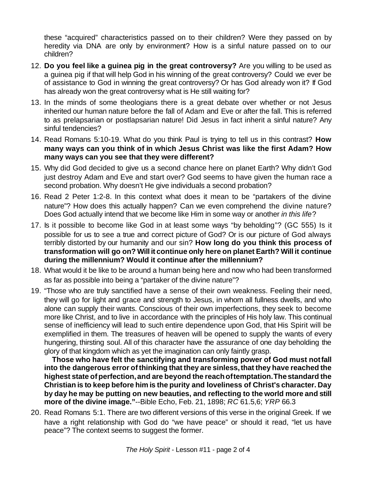these "acquired" characteristics passed on to their children? Were they passed on by heredity via DNA are only by environment? How is a sinful nature passed on to our children?

- 12. **Do you feel like a guinea pig in the great controversy?** Are you willing to be used as a guinea pig if that will help God in his winning of the great controversy? Could we ever be of assistance to God in winning the great controversy? Or has God already won it? If God has already won the great controversy what is He still waiting for?
- 13. In the minds of some theologians there is a great debate over whether or not Jesus inherited our human nature before the fall of Adam and Eve or after the fall. This is referred to as prelapsarian or postlapsarian nature! Did Jesus in fact inherit a sinful nature? Any sinful tendencies?
- 14. Read Romans 5:10-19. What do you think Paul is trying to tell us in this contrast? **How many ways can you think of in which Jesus Christ was like the first Adam? How many ways can you see that they were different?**
- 15. Why did God decided to give us a second chance here on planet Earth? Why didn't God just destroy Adam and Eve and start over? God seems to have given the human race a second probation. Why doesn't He give individuals a second probation?
- 16. Read 2 Peter 1:2-8. In this context what does it mean to be "partakers of the divine nature"? How does this actually happen? Can we even comprehend the divine nature? Does God actually intend that we become like Him in some way or another *in this life*?
- 17. Is it possible to become like God in at least some ways "by beholding"? (GC 555) Is it possible for us to see a true and correct picture of God? Or is our picture of God always terribly distorted by our humanity and our sin? **How long do you think this process of transformation will go on? Will it continue only here on planet Earth? Will it continue during the millennium? Would it continue after the millennium?**
- 18. What would it be like to be around a human being here and now who had been transformed as far as possible into being a "partaker of the divine nature"?
- 19. "Those who are truly sanctified have a sense of their own weakness. Feeling their need, they will go for light and grace and strength to Jesus, in whom all fullness dwells, and who alone can supply their wants. Conscious of their own imperfections, they seek to become more like Christ, and to live in accordance with the principles of His holy law. This continual sense of inefficiency will lead to such entire dependence upon God, that His Spirit will be exemplified in them. The treasures of heaven will be opened to supply the wants of every hungering, thirsting soul. All of this character have the assurance of one day beholding the glory of that kingdom which as yet the imagination can only faintly grasp.

 **Those who have felt the sanctifying and transforming power of God must notfall into the dangerous error ofthinking that they are sinless,that they have reached the highest state of perfection,and are beyond the reachoftemptation.Thestandard the Christian is to keep before him is the purity and loveliness of Christ's character. Day by day he may be putting on new beauties, and reflecting to the world more and still more of the divine image."**--Bible Echo, Feb. 21, 1898; *RC* 61.5,6; *YRP* 66.3

20. Read Romans 5:1. There are two different versions of this verse in the original Greek. If we have a right relationship with God do "we have peace" or should it read, "let us have peace"? The context seems to suggest the former.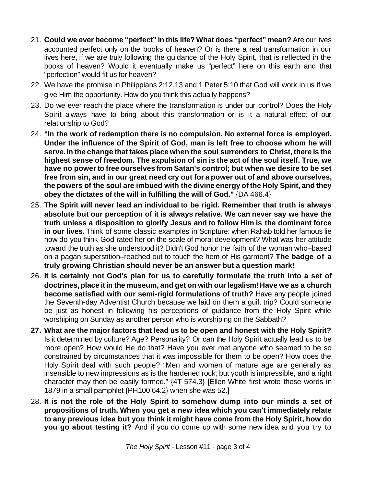- 21. **Could we ever become "perfect" in this life? What does "perfect" mean?** Are our lives accounted perfect only on the books of heaven? Or is there a real transformation in our lives here, if we are truly following the guidance of the Holy Spirit, that is reflected in the books of heaven? Would it eventually make us "perfect" here on this earth and that "perfection" would fit us for heaven?
- 22. We have the promise in Philippians 2:12,13 and 1 Peter 5:10 that God will work in us if we give Him the opportunity. How do you think this actually happens?
- 23. Do we ever reach the place where the transformation is under our control? Does the Holy Spirit always have to bring about this transformation or is it a natural effect of our relationship to God?
- 24. **"In the work of redemption there is no compulsion. No external force is employed. Under the influence of the Spirit of God, man is left free to choose whom he will serve.In the change that takes place when the soul surrenders to Christ, there is the highest sense of freedom. The expulsion of sin is the act of the soul itself. True, we have no power to free ourselves from Satan's control; but when we desire to be set free from sin, and in our great need cry out for a power out of and above ourselves, the powers of the soul are imbued with the divine energy ofthe Holy Spirit, and they obey the dictates of the will in fulfilling the will of God."** {DA 466.4}
- 25. **The Spirit will never lead an individual to be rigid. Remember that truth is always absolute but our perception of it is always relative. We can never say we have the truth unless a disposition to glorify Jesus and to follow Him is the dominant force in our lives.** Think of some classic examples in Scripture: when Rahab told her famous lie how do you think God rated her on the scale of moral development? What was her attitude toward the truth as she understood it? Didn't God honor the faith of the woman who–based on a pagan superstition–reached out to touch the hem of His garment? **The badge of a truly growing Christian should never be an answer but a question mark!**
- 26. **It is certainly not God's plan for us to carefully formulate the truth into a set of doctrines,place itin the museum, and get on with ourlegalism!Have we as a church become satisfied with our semi-rigid formulations of truth?** Have any people joined the Seventh-day Adventist Church because we laid on them a guilt trip? Could someone be just as honest in following his perceptions of guidance from the Holy Spirit while worshiping on Sunday as another person who is worshiping on the Sabbath?
- **27. What are the major factors that lead us to be open and honest with the Holy Spirit?** Is it determined by culture? Age? Personality? Or can the Holy Spirit actually lead us to be more open? How would He do that? Have you ever met anyone who seemed to be so constrained by circumstances that it was impossible for them to be open? How does the Holy Spirit deal with such people? "Men and women of mature age are generally as insensible to new impressions as is the hardened rock; but youth is impressible, and a right character may then be easily formed." {4T 574.3} [Ellen White first wrote these words in 1879 in a small pamphlet {PH100 64.2} when she was 52.]
- 28. **It is not the role of the Holy Spirit to somehow dump into our minds a set of propositions of truth. When you get a new idea which you can't immediately relate to any previous idea but you think it might have come from the Holy Spirit, how do you go about testing it?** And if you do come up with some new idea and you try to